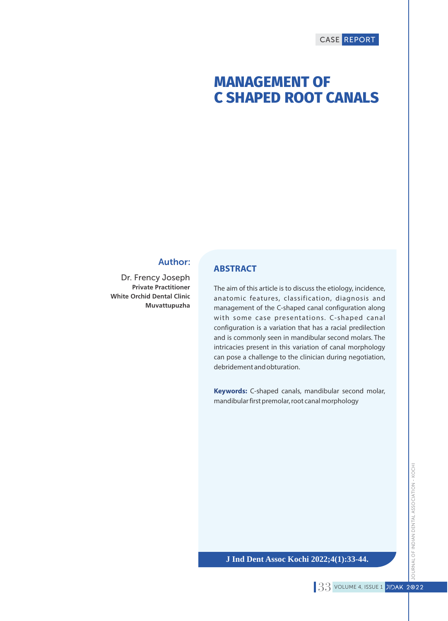# **MANAGEMENT OF C SHAPED ROOT CANALS**

# Author:

Dr. Frency Joseph **Private Practitioner White Orchid Dental Clinic Muvattupuzha**

### **ABSTRACT**

The aim of this article is to discuss the etiology, incidence, anatomic features, classification, diagnosis and management of the C-shaped canal configuration along with some case presentations. C-shaped canal configuration is a variation that has a racial predilection and is commonly seen in mandibular second molars. The intricacies present in this variation of canal morphology can pose a challenge to the clinician during negotiation, debridement and obturation.

**Keywords:** C-shaped canals, mandibular second molar, mandibular first premolar, root canal morphology

### **J Ind Dent Assoc Kochi 2022;4(1):33-44.**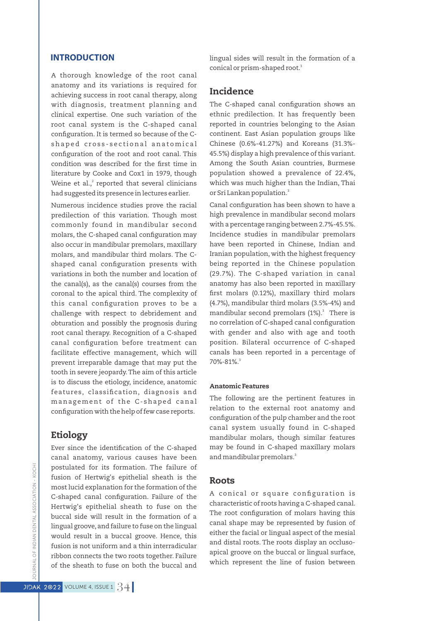### **INTRODUCTION**

A thorough knowledge of the root canal anatomy and its variations is required for achieving success in root canal therapy, along with diagnosis, treatment planning and clinical expertise. One such variation of the root canal system is the C-shaped canal configuration. It is termed so because of the Cshaped cross-sectional anatomical configuration of the root and root canal. This condition was described for the first time in literature by Cooke and Cox1 in 1979, though Weine et al., $^2$  reported that several clinicians had suggested its presence in lectures earlier.

Numerous incidence studies prove the racial predilection of this variation. Though most commonly found in mandibular second molars, the C-shaped canal configuration may also occur in mandibular premolars, maxillary molars, and mandibular third molars. The Cshaped canal configuration presents with variations in both the number and location of the canal(s), as the canal(s) courses from the coronal to the apical third. The complexity of this canal configuration proves to be a challenge with respect to debridement and obturation and possibly the prognosis during root canal therapy. Recognition of a C-shaped canal configuration before treatment can facilitate effective management, which will prevent irreparable damage that may put the tooth in severe jeopardy.The aim of this article is to discuss the etiology, incidence, anatomic features, classification, diagnosis and management of the C-shaped canal configuration with the help of few case reports.

# Etiology

Ever since the identification of the C-shaped canal anatomy, various causes have been postulated for its formation. The failure of fusion of Hertwig's epithelial sheath is the most lucid explanation for the formation of the C-shaped canal configuration. Failure of the Hertwig's epithelial sheath to fuse on the buccal side will result in the formation of a lingual groove,and failure to fuse on the lingual would result in a buccal groove. Hence, this fusion is not uniform and a thin interradicular ribbon connects the two roots together. Failure of the sheath to fuse on both the buccal and

lingual sides will result in the formation of a conical or prism-shaped root.<sup>3</sup>

# Incidence

The C-shaped canal configuration shows an ethnic predilection. It has frequently been reported in countries belonging to the Asian continent. East Asian population groups like Chinese (0.6%-41.27%) and Koreans (31.3%- 45.5%) display a high prevalence of this variant. Among the South Asian countries, Burmese population showed a prevalence of 22.4%, which was much higher than the Indian, Thai or Sri Lankan population.<sup>3</sup>

Canal configuration has been shown to have a high prevalence in mandibular second molars with a percentage ranging between 2.7%-45.5%. Incidence studies in mandibular premolars have been reported in Chinese, Indian and Iranian population, with the highest frequency being reported in the Chinese population (29.7%). The C-shaped variation in canal anatomy has also been reported in maxillary first molars (0.12%), maxillary third molars (4.7%), mandibular third molars (3.5%-4%) and mandibular second premolars (1%). $^3$  There is no correlation of C-shaped canal configuration with gender and also with age and tooth position. Bilateral occurrence of C-shaped canals has been reported in a percentage of 3 70%-81%.

#### Anatomic Features

The following are the pertinent features in relation to the external root anatomy and configuration of the pulp chamber and the root canal system usually found in C-shaped mandibular molars, though similar features may be found in C-shaped maxillary molars and mandibular premolars.<sup>3</sup>

#### Roots

A conical or square configuration is characteristic of roots having a C-shaped canal. The root configuration of molars having this canal shape may be represented by fusion of either the facial or lingual aspect of the mesial and distal roots. The roots display an occlusoapical groove on the buccal or lingual surface, which represent the line of fusion between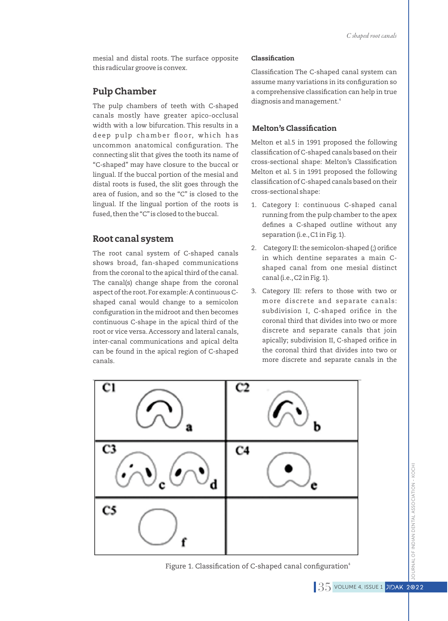mesial and distal roots. The surface opposite this radicular groove is convex.

# Pulp Chamber

The pulp chambers of teeth with C-shaped canals mostly have greater apico-occlusal width with a low bifurcation. This results in a deep pulp chamber floor, which has uncommon anatomical configuration. The connecting slit that gives the tooth its name of "C-shaped" may have closure to the buccal or lingual. If the buccal portion of the mesial and distal roots is fused, the slit goes through the area of fusion, and so the "C" is closed to the lingual. If the lingual portion of the roots is fused, then the "C" is closed to the buccal.

# Root canal system

The root canal system of C-shaped canals shows broad, fan-shaped communications from the coronal to the apical third of the canal. The canal(s) change shape from the coronal aspect of the root.For example: A continuous Cshaped canal would change to a semicolon configuration in the midroot and then becomes continuous C-shape in the apical third of the root or vice versa. Accessory and lateral canals, inter-canal communications and apical delta can be found in the apical region of C-shaped canals.

#### Classification

Classification The C-shaped canal system can assume many variations in its configuration so a comprehensive classification can help in true 4 diagnosis and management.

### **Melton's Classification**

Melton et al.5 in 1991 proposed the following classification of C-shaped canals based on their cross-sectional shape: Melton's Classification Melton et al. 5 in 1991 proposed the following classification of C-shaped canals based on their cross-sectional shape:

- 1. Category I: continuous C-shaped canal running from the pulp chamber to the apex defines a C-shaped outline without any separation (i.e., C1 in Fig. 1).
- 2. Category II: the semicolon-shaped (;) orifice in which dentine separates a main Cshaped canal from one mesial distinct canal (i.e.,C2 in Fig.1).
- 3. Category III: refers to those with two or more discrete and separate canals: subdivision I. C-shaped orifice in the coronal third that divides into two or more discrete and separate canals that join apically; subdivision II, C-shaped orifice in the coronal third that divides into two or more discrete and separate canals in the



Figure 1. Classification of C-shaped canal configuration $4$ 

KOCH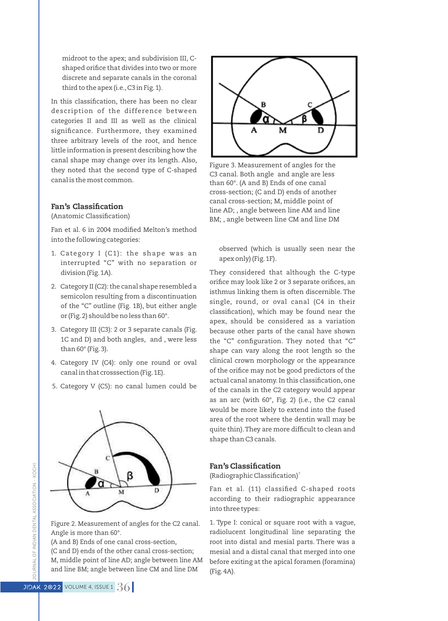midroot to the apex; and subdivision III, Cshaped orifice that divides into two or more discrete and separate canals in the coronal third to the apex (i.e., C3 in Fig. 1).

In this classification, there has been no clear description of the difference between categories II and III as well as the clinical significance. Furthermore, they examined three arbitrary levels of the root, and hence little information is present describing how the canal shape may change over its length. Also, they noted that the second type of C-shaped canal is the most common.

#### Fan's Classification

(Anatomic Classification)

Fan et al. 6 in 2004 modified Melton's method into the following categories:

- 1. Category I (C1): the shape was an interrupted "C" with no separation or division (Fig.1A).
- 2. Category II (C2): the canal shape resembled a semicolon resulting from a discontinuation of the "C" outline (Fig. 1B), but either angle or (Fig.2) should be no less than 60°.
- 3. Category III (C3): 2 or 3 separate canals (Fig. 1C and D) and both angles, and , were less than  $60^\circ$  (Fig. 3).
- 4. Category IV (C4): only one round or oval canal in that crosssection (Fig.1E).
- 5. Category V (C5): no canal lumen could be



Figure 2. Measurement of angles for the C2 canal. Angle is more than 60°.

(A and B) Ends of one canal cross-section,

(C and D) ends of the other canal cross-section; M, middle point of line AD; angle between line AM

and line BM; angle between line CM and line DM



Figure 3. Measurement of angles for the C3 canal. Both angle and angle are less than 60°. (A and B) Ends of one canal cross-section; (C and D) ends of another canal cross-section; M, middle point of line AD; , angle between line AM and line BM; , angle between line CM and line DM

observed (which is usually seen near the apex only) (Fig.1F).

They considered that although the C-type orifice may look like 2 or 3 separate orifices, an isthmus linking them is often discernible. The single, round, or oval canal (C4 in their classification), which may be found near the apex, should be considered as a variation because other parts of the canal have shown the "C" configuration. They noted that "C" shape can vary along the root length so the clinical crown morphology or the appearance of the orifice may not be good predictors of the actual canal anatomy. In this classification, one of the canals in the C2 category would appear as an arc (with 60°, Fig. 2) (i.e., the C2 canal would be more likely to extend into the fused area of the root where the dentin wall may be quite thin). They are more difficult to clean and shape than C3 canals.

# Fan's Classification

(Radiographic Classification)<sup>7</sup>

Fan et al. (11) classified C-shaped roots according to their radiographic appearance into three types:

1. Type I: conical or square root with a vague, radiolucent longitudinal line separating the root into distal and mesial parts. There was a mesial and a distal canal that merged into one before exiting at the apical foramen (foramina) (Fig.4A).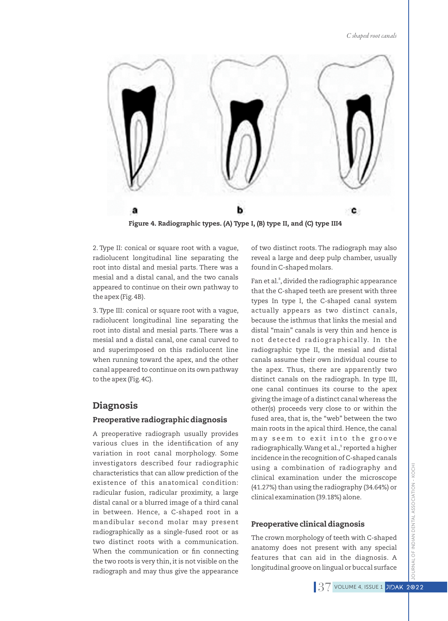

Figure 4. Radiographic types. (A) Type I, (B) type II, and (C) type III4

2. Type II: conical or square root with a vague, radiolucent longitudinal line separating the root into distal and mesial parts. There was a mesial and a distal canal, and the two canals appeared to continue on their own pathway to the apex (Fig.4B).

3. Type III: conical or square root with a vague, radiolucent longitudinal line separating the root into distal and mesial parts. There was a mesial and a distal canal, one canal curved to and superimposed on this radiolucent line when running toward the apex, and the other canal appeared to continue on its own pathway to the apex (Fig.4C).

# Diagnosis

#### Preoperative radiographic diagnosis

A preoperative radiograph usually provides various clues in the identification of any variation in root canal morphology. Some investigators described four radiographic characteristics that can allow prediction of the existence of this anatomical condition: radicular fusion, radicular proximity, a large distal canal or a blurred image of a third canal in between. Hence, a C-shaped root in a mandibular second molar may present radiographically as a single-fused root or as two distinct roots with a communication. When the communication or fin connecting the two roots is very thin, it is not visible on the radiograph and may thus give the appearance

of two distinct roots. The radiograph may also reveal a large and deep pulp chamber, usually found in C-shaped molars.

Fan et al.<sup>8</sup>, divided the radiographic appearance that the C-shaped teeth are present with three types In type I, the C-shaped canal system actually appears as two distinct canals, because the isthmus that links the mesial and distal "main" canals is very thin and hence is not detected radiographically. In the radiographic type II, the mesial and distal canals assume their own individual course to the apex. Thus, there are apparently two distinct canals on the radiograph. In type III, one canal continues its course to the apex giving the image of a distinct canal whereas the other(s) proceeds very close to or within the fused area, that is, the "web" between the two main roots in the apical third. Hence, the canal may seem to exit into the groove radiographically. Wang et al., $^{\circ}$ reported a higher incidence in the recognition of C-shaped canals using a combination of radiography and clinical examination under the microscope (41.27%) than using the radiography (34.64%) or clinical examination (39.18%) alone.

#### Preoperative clinical diagnosis

The crown morphology of teeth with C-shaped anatomy does not present with any special features that can aid in the diagnosis. A longitudinal groove on lingual or buccal surface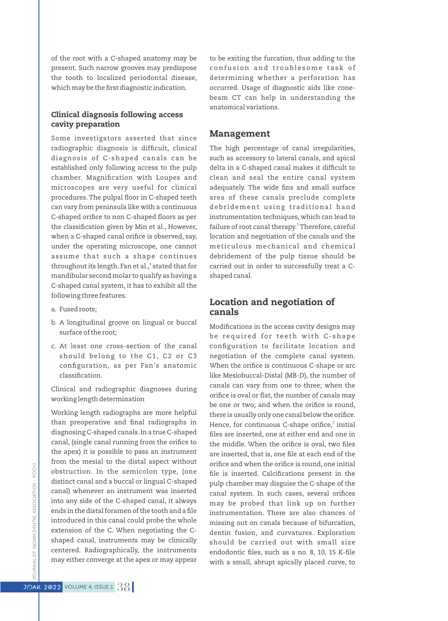of the root with a C-shaped anatomy may be present. Such narrow grooves may predispose the tooth to localized periodontal disease, which may be the first diagnostic indication.

### Clinical diagnosis following access cavity preparation

Some investigators asserted that since radiographic diagnosis is difficult, clinical diagnosis of C-shaped canals can be established only following access to the pulp chamber. Magnification with Loupes and microscopes are very useful for clinical procedures. The pulpal floor in C-shaped teeth can vary from peninsula like with a continuous C-shaped orifice to non C-shaped floors as per the classification given by Min et al., However, when a C-shaped canal orifice is observed, say, under the operating microscope, one cannot assume that such a shape continues throughout its length. Fan et al., $^{\circ}$  stated that for mandibular second molar to qualify as having a C-shaped canal system, it has to exhibit all the following three features:

- a. Fused roots;
- b. A longitudinal groove on lingual or buccal surface of the root;
- c. At least one cross-section of the canal should belong to the C1, C2 or C3 configuration, as per Fan's anatomic classification.

Clinical and radiographic diagnoses during working length determination

Working length radiographs are more helpful than preoperative and final radiographs in diagnosing C-shaped canals.In a true C-shaped canal, (single canal running from the orifice to the apex) it is possible to pass an instrument from the mesial to the distal aspect without obstruction. In the semicolon type, (one distinct canal and a buccal or lingual C-shaped canal) whenever an instrument was inserted into any side of the C-shaped canal, it always ends in the distal foramen of the tooth and a file introduced in this canal could probe the whole extension of the C. When negotiating the Cshaped canal, instruments may be clinically centered. Radiographically, the instruments may either converge at the apex or may appear

to be exiting the furcation, thus adding to the confusion and troublesome task of determining whether a perforation has occurred. Usage of diagnostic aids like conebeam CT can help in understanding the anatomical variations.

### Management

The high percentage of canal irregularities, such as accessory to lateral canals, and apical delta in a C-shaped canal makes it difficult to clean and seal the entire canal system adequately. The wide fins and small surface area of these canals preclude complete debridement using traditional hand instrumentation techniques, which can lead to failure of root canal therapy.<sup>3</sup> Therefore, careful location and negotiation of the canals and the meticulous mechanical and chemical debridement of the pulp tissue should be carried out in order to successfully treat a Cshaped canal.

# Location and negotiation of canals

Modifications in the access cavity designs may be required for teeth with C-shape configuration to facilitate location and negotiation of the complete canal system. When the orifice is continuous C-shape or arc like Mesiobuccal-Distal (MB-D), the number of canals can vary from one to three; when the orifice is oval or flat, the number of canals may be one or two; and when the orifice is round, there is usually only one canal below the orifice. Hence, for continuous C-shape orifice,<sup>3</sup> initial files are inserted, one at either end and one in the middle. When the orifice is oval, two files are inserted, that is, one file at each end of the orifice and when the orifice is round, one initial file is inserted. Calcifications present in the pulp chamber may disguise the C-shape of the canal system. In such cases, several orifices may be probed that link up on further instrumentation. There are also chances of missing out on canals because of bifurcation, dentin fusion, and curvatures. Exploration should be carried out with small size endodontic files, such as a no. 8, 10, 15 K-file with a small, abrupt apically placed curve, to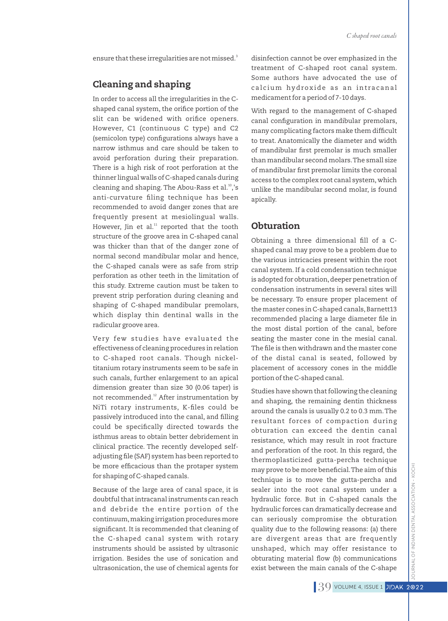ensure that these irregularities are not missed.<sup>:</sup>

# Cleaning and shaping

In order to access all the irregularities in the Cshaped canal system, the orifice portion of the slit can be widened with orifice openers. However, C1 (continuous C type) and C2 (semicolon type) configurations always have a narrow isthmus and care should be taken to avoid perforation during their preparation. There is a high risk of root perforation at the thinner lingual walls of C-shaped canals during cleaning and shaping. The Abou-Rass et al.<sup>10</sup>,'s anti-curvature filing technique has been recommended to avoid danger zones that are frequently present at mesiolingual walls. However, Jin et al. $11$  reported that the tooth structure of the groove area in C-shaped canal was thicker than that of the danger zone of normal second mandibular molar and hence, the C-shaped canals were as safe from strip perforation as other teeth in the limitation of this study. Extreme caution must be taken to prevent strip perforation during cleaning and shaping of C-shaped mandibular premolars, which display thin dentinal walls in the radicular groove area.

Very few studies have evaluated the effectiveness of cleaning procedures in relation to C-shaped root canals. Though nickeltitanium rotary instruments seem to be safe in such canals, further enlargement to an apical dimension greater than size 30 (0.06 taper) is not recommended.<sup>12</sup> After instrumentation by NiTi rotary instruments, K-files could be passively introduced into the canal, and filling could be specifically directed towards the isthmus areas to obtain better debridement in clinical practice. The recently developed selfadjusting file (SAF) system has been reported to be more efficacious than the protaper system for shaping of C-shaped canals.

Because of the large area of canal space, it is doubtful that intracanal instruments can reach and debride the entire portion of the continuum,making irrigation procedures more significant. It is recommended that cleaning of the C-shaped canal system with rotary instruments should be assisted by ultrasonic irrigation. Besides the use of sonication and ultrasonication, the use of chemical agents for

disinfection cannot be over emphasized in the treatment of C-shaped root canal system. Some authors have advocated the use of calcium hydroxide as an intracanal medicament for a period of 7-10 days.

With regard to the management of C-shaped canal configuration in mandibular premolars, many complicating factors make them difficult to treat. Anatomically the diameter and width of mandibular first premolar is much smaller than mandibular second molars.The small size of mandibular first premolar limits the coronal access to the complex root canal system, which unlike the mandibular second molar, is found apically.

# **Obturation**

Obtaining a three dimensional fill of a Cshaped canal may prove to be a problem due to the various intricacies present within the root canal system. If a cold condensation technique is adopted for obturation, deeper penetration of condensation instruments in several sites will be necessary. To ensure proper placement of the master cones in C-shaped canals, Barnett13 recommended placing a large diameter file in the most distal portion of the canal, before seating the master cone in the mesial canal. The file is then withdrawn and the master cone of the distal canal is seated, followed by placement of accessory cones in the middle portion of the C-shaped canal.

Studies have shown that following the cleaning and shaping, the remaining dentin thickness around the canals is usually 0.2 to 0.3 mm.The resultant forces of compaction during obturation can exceed the dentin canal resistance, which may result in root fracture and perforation of the root. In this regard, the thermoplasticized gutta-percha technique may prove to be more beneficial. The aim of this technique is to move the gutta-percha and sealer into the root canal system under a hydraulic force. But in C-shaped canals the hydraulic forces can dramatically decrease and can seriously compromise the obturation quality due to the following reasons: (a) there are divergent areas that are frequently unshaped, which may offer resistance to obturating material flow (b) communications exist between the main canals of the C-shape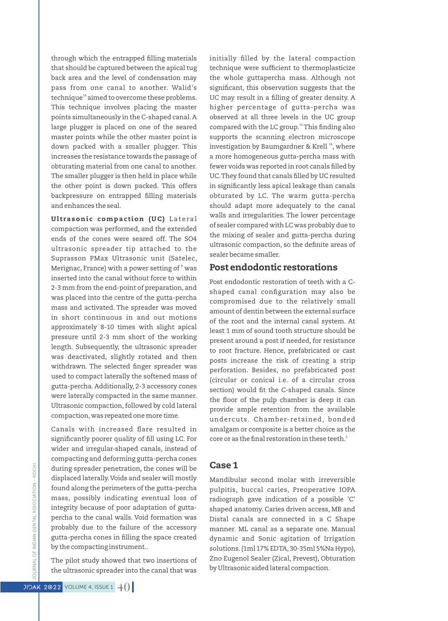through which the entrapped filling materials that should be captured between the apical tug back area and the level of condensation may pass from one canal to another. Walid's  $14$  technique<sup>14</sup> aimed to overcome these problems. This technique involves placing the master points simultaneously in the C-shaped canal.A large plugger is placed on one of the seared master points while the other master point is down packed with a smaller plugger. This increases the resistance towards the passage of obturating material from one canal to another. The smaller plugger is then held in place while the other point is down packed. This offers backpressure on entrapped filling materials and enhances the seal.

Ultrasonic compaction (UC) Lateral compaction was performed, and the extended ends of the cones were seared off. The SO4 ultrasonic spreader tip attached to the Suprasson PMax Ultrasonic unit (Satelec, Merignac, France) with a power setting of  $8$  was inserted into the canal without force to within 2-3 mm from the end-point of preparation, and was placed into the centre of the gutta-percha mass and activated. The spreader was moved in short continuous in and out motions approximately 8-10 times with slight apical pressure until 2-3 mm short of the working length. Subsequently, the ultrasonic spreader was deactivated, slightly rotated and then withdrawn. The selected finger spreader was used to compact laterally the softened mass of gutta-percha.Additionally, 2-3 accessory cones were laterally compacted in the same manner. Ultrasonic compaction, followed by cold lateral compaction,was repeated one more time.

Canals with increased flare resulted in significantly poorer quality of fill using LC. For wider and irregular-shaped canals, instead of compacting and deforming gutta-percha cones during spreader penetration, the cones will be displaced laterally.Voids and sealer will mostly found along the perimeters of the gutta-percha mass, possibly indicating eventual loss of integrity because of poor adaptation of guttapercha to the canal walls. Void formation was probably due to the failure of the accessory gutta-percha cones in filling the space created by the compacting instrument..

The pilot study showed that two insertions of the ultrasonic spreader into the canal that was

initially filled by the lateral compaction technique were sufficient to thermoplasticize the whole guttapercha mass. Although not significant, this observation suggests that the UC may result in a filling of greater density. A higher percentage of gutta-percha was observed at all three levels in the UC group compared with the LC group.<sup>15</sup> This finding also supports the scanning electron microscope investigation by Baumgardner & Krell<sup>16</sup>, where a more homogeneous gutta-percha mass with fewer voids was reported in root canals filled by UC. They found that canals filled by UC resulted in significantly less apical leakage than canals obturated by LC. The warm gutta-percha should adapt more adequately to the canal walls and irregularities. The lower percentage of sealer compared with LC was probably due to the mixing of sealer and gutta-percha during ultrasonic compaction, so the definite areas of sealer became smaller.

### Post endodontic restorations

Post endodontic restoration of teeth with a Cshaped canal configuration may also be compromised due to the relatively small amount of dentin between the external surface of the root and the internal canal system. At least 1 mm of sound tooth structure should be present around a post if needed, for resistance to root fracture. Hence, prefabricated or cast posts increase the risk of creating a strip perforation. Besides, no prefabricated post (circular or conical i.e. of a circular cross section) would fit the C-shaped canals. Since the floor of the pulp chamber is deep it can provide ample retention from the available undercuts. Chamber- retained, bonded amalgam or composite is a better choice as the core or as the final restoration in these teeth.<sup>3</sup>

### Case 1

Mandibular second molar with irreversible pulpitis, buccal caries, Preoperative IOPA radiograph gave indication of a possible 'C' shaped anatomy. Caries driven access, MB and Distal canals are connected in a C Shape manner. ML canal as a separate one. Manual dynamic and Sonic agitation of Irrigation solutions.(1ml 17% EDTA, 30-35ml 5%Na Hypo), Zno Eugenol Sealer (Zical, Prevest), Obturation by Ultrasonic aided lateral compaction.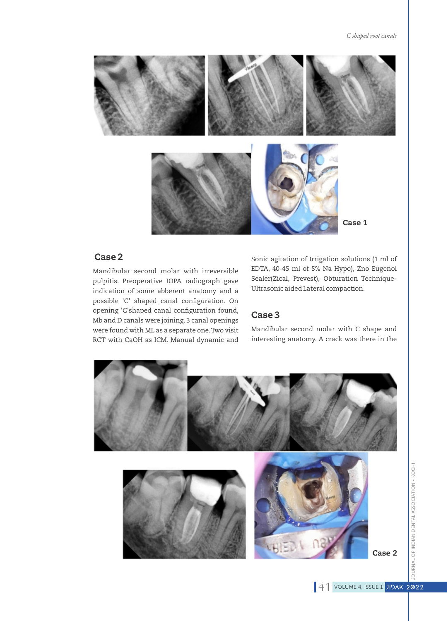

# Case 2

Mandibular second molar with irreversible pulpitis. Preoperative IOPA radiograph gave indication of some abberent anatomy and a possible 'C' shaped canal configuration. On opening 'C'shaped canal configuration found, Mb and D canals were joining. 3 canal openings were found with ML as a separate one.Two visit RCT with CaOH as ICM. Manual dynamic and

Sonic agitation of Irrigation solutions (1 ml of EDTA, 40-45 ml of 5% Na Hypo), Zno Eugenol Sealer(Zical, Prevest), Obturation Technique-Ultrasonic aided Lateral compaction.

## Case 3

Mandibular second molar with C shape and interesting anatomy. A crack was there in the

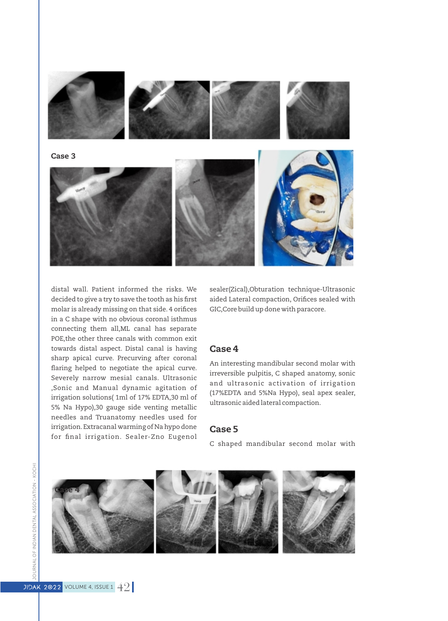

distal wall. Patient informed the risks. We decided to give a try to save the tooth as his first molar is already missing on that side. 4 orifices in a C shape with no obvious coronal isthmus connecting them all,ML canal has separate POE,the other three canals with common exit towards distal aspect. Distal canal is having sharp apical curve. Precurving after coronal flaring helped to negotiate the apical curve. Severely narrow mesial canals. Ultrasonic ,Sonic and Manual dynamic agitation of irrigation solutions( 1ml of 17% EDTA,30 ml of 5% Na Hypo),30 gauge side venting metallic needles and Truanatomy needles used for irrigation.Extracanal warming of Na hypo done for final irrigation. Sealer-Zno Eugenol

sealer(Zical),Obturation technique-Ultrasonic aided Lateral compaction, Orifices sealed with GIC,Core build up done with paracore.

### Case 4

An interesting mandibular second molar with irreversible pulpitis, C shaped anatomy, sonic and ultrasonic activation of irrigation (17%EDTA and 5%Na Hypo), seal apex sealer, ultrasonic aided lateral compaction.

### Case 5

C shaped mandibular second molar with

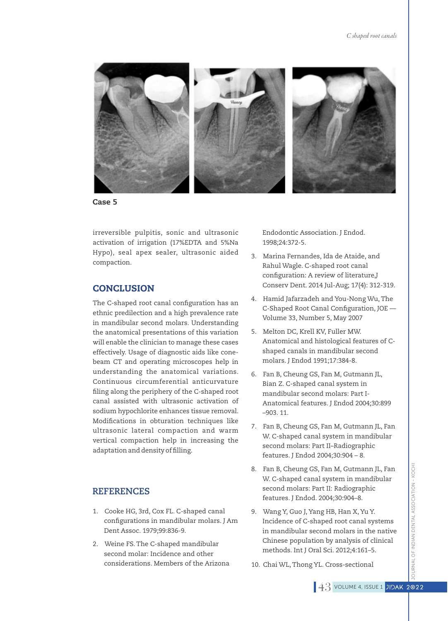

Case 5

irreversible pulpitis, sonic and ultrasonic activation of irrigation (17%EDTA and 5%Na Hypo), seal apex sealer, ultrasonic aided compaction.

# **CONCLUSION**

The C-shaped root canal configuration has an ethnic predilection and a high prevalence rate in mandibular second molars. Understanding the anatomical presentations of this variation will enable the clinician to manage these cases effectively. Usage of diagnostic aids like conebeam CT and operating microscopes help in understanding the anatomical variations. Continuous circumferential anticurvature filing along the periphery of the C-shaped root canal assisted with ultrasonic activation of sodium hypochlorite enhances tissue removal. Modifications in obturation techniques like ultrasonic lateral compaction and warm vertical compaction help in increasing the adaptation and density of filling.

### **REFERENCES**

- 1. Cooke HG, 3rd, Cox FL. C-shaped canal configurations in mandibular molars. J Am Dent Assoc. 1979;99:836-9.
- 2. Weine FS. The C-shaped mandibular second molar: Incidence and other considerations. Members of the Arizona

Endodontic Association. J Endod. 1998;24:372-5.

- 3. Marina Fernandes, Ida de Ataide, and Rahul Wagle. C-shaped root canal configuration: A review of literature,J Conserv Dent. 2014 Jul-Aug; 17(4): 312-319.
- 4. Hamid Jafarzadeh and You-Nong Wu,The C-Shaped Root Canal Configuration, JOE -Volume 33, Number 5, May 2007
- 5. Melton DC, Krell KV, Fuller MW. Anatomical and histological features of Cshaped canals in mandibular second molars. J Endod 1991;17:384-8.
- 6. Fan B, Cheung GS, Fan M, Gutmann JL, Bian Z. C-shaped canal system in mandibular second molars: Part I-Anatomical features. J Endod 2004;30:899 –903. 11.
- 7. Fan B, Cheung GS, Fan M, Gutmann JL, Fan W. C-shaped canal system in mandibular second molars: Part II–Radiographic features. J Endod 2004;30:904 – 8.
- 8. Fan B, Cheung GS, Fan M, Gutmann JL, Fan W. C-shaped canal system in mandibular second molars: Part II: Radiographic features. J Endod. 2004;30:904–8.
- 9. Wang Y, Guo J, Yang HB, Han X, Yu Y. Incidence of C-shaped root canal systems in mandibular second molars in the native Chinese population by analysis of clinical methods. Int J Oral Sci. 2012;4:161–5.
- 10. Chai WL, Thong YL. Cross-sectional